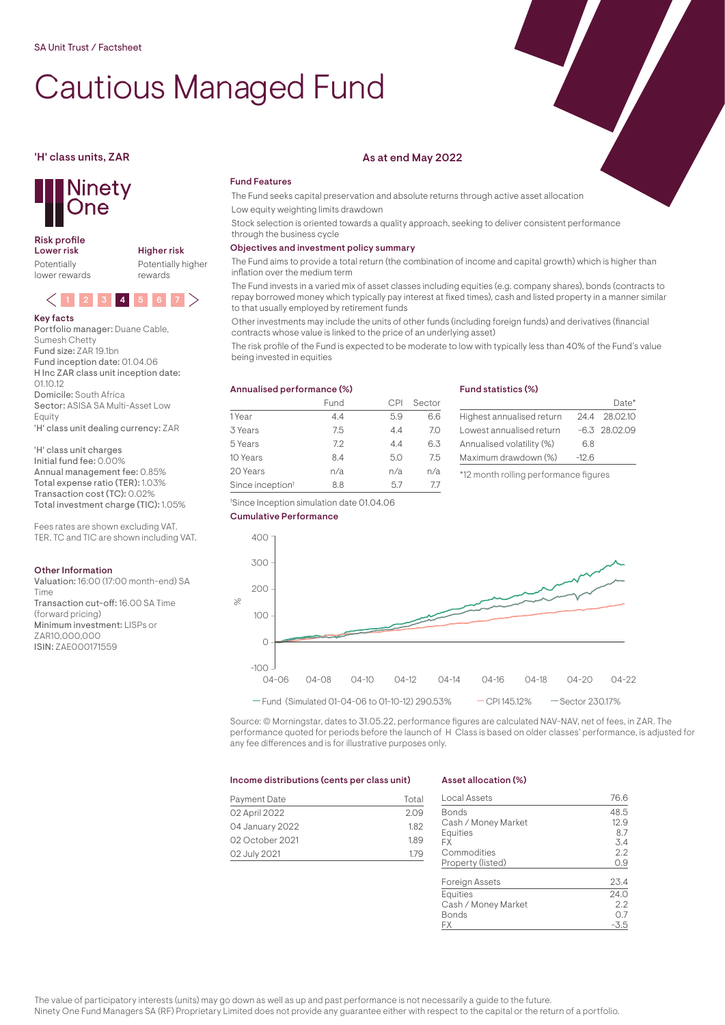# Cautious Managed Fund



## Risk profile<br>Lower risk

Potentially lower rewards Higher risk Potentially higher rewards



#### Key facts Portfolio manager: Duane Cable,

Sumesh Chetty Fund size: ZAR 19.1bn Fund inception date: 01.04.06 H Inc ZAR class unit inception date:  $0110.12$ Domicile: South Africa Sector: ASISA SA Multi-Asset Low Equity 'H' class unit dealing currency: ZAR

'H' class unit charges Initial fund fee: 0.00% Annual management fee: 0.85% Total expense ratio (TER): 1.03% Transaction cost (TC): 0.02% Total investment charge (TIC): 1.05%

Fees rates are shown excluding VAT. TER, TC and TIC are shown including VAT.

#### Other Information

Valuation: 16:00 (17:00 month-end) SA Time Transaction cut-off: 16.00 SA Time (forward pricing) Minimum investment: LISPs or ZAR10,000,000 ISIN: ZAE000171559

#### 'H' class units, ZAR As at end May 2022

#### Fund Features

The Fund seeks capital preservation and absolute returns through active asset allocation Low equity weighting limits drawdown

Stock selection is oriented towards a quality approach, seeking to deliver consistent performance through the business cycle

### Objectives and investment policy summary

The Fund aims to provide a total return (the combination of income and capital growth) which is higher than inflation over the medium term

The Fund invests in a varied mix of asset classes including equities (e.g. company shares), bonds (contracts to repay borrowed money which typically pay interest at fixed times), cash and listed property in a manner similar to that usually employed by retirement funds

Other investments may include the units of other funds (including foreign funds) and derivatives (financial contracts whose value is linked to the price of an underlying asset)

The risk profile of the Fund is expected to be moderate to low with typically less than 40% of the Fund's value being invested in equities

# Annualised performance (%)

|                              | Fund |     | Sector |
|------------------------------|------|-----|--------|
| 1 Year                       | 4.4  | 5.9 | 6.6    |
| 3 Years                      | 7.5  | 4.4 | 7.0    |
| 5 Years                      | 7.2  | 4.4 | 6.3    |
| 10 Years                     | 8.4  | 5.0 | 7.5    |
| 20 Years                     | n/a  | n/a | n/a    |
| Since inception <sup>t</sup> | 8.8  | 57  | 77     |

#### Fund statistics (%)

|                           |         | $Data*$         |
|---------------------------|---------|-----------------|
| Highest annualised return |         | 24.4 28.02.10   |
| Lowest annualised return  |         | $-6.3$ 28.02.09 |
| Annualised volatility (%) | 6.8     |                 |
| Maximum drawdown (%)      | $-12.6$ |                 |
|                           |         |                 |

\*12 month rolling performance figures







Source: © Morningstar, dates to 31.05.22, performance figures are calculated NAV-NAV, net of fees, in ZAR. The performance quoted for periods before the launch of H Class is based on older classes' performance, is adjusted for any fee differences and is for illustrative purposes only.

#### Income distributions (cents per class unit)

| Payment Date    | Total |
|-----------------|-------|
| 02 April 2022   | 2.09  |
| 04 January 2022 | 1.82  |
| 02 October 2021 | 1.89  |
| 02 July 2021    | 1.79  |

#### Asset allocation (%)

| Local Assets          | 76.6 |
|-----------------------|------|
| Bonds                 | 48.5 |
| Cash / Money Market   | 12.9 |
| <b>Equities</b>       | 8.7  |
| FX                    | 3.4  |
| Commodities           | 2.2  |
| Property (listed)     | 0.9  |
| <b>Foreign Assets</b> | 23.4 |
| <b>Equities</b>       | 24.0 |
| Cash / Money Market   | 2.2  |
| Bonds                 | 0.7  |
| FХ                    | -3.5 |